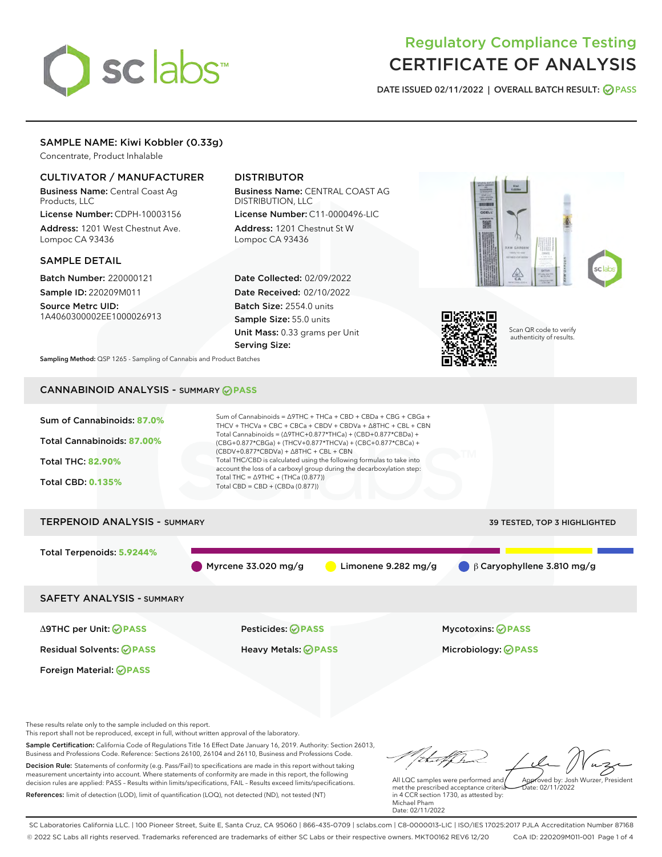# sclabs

# Regulatory Compliance Testing CERTIFICATE OF ANALYSIS

DATE ISSUED 02/11/2022 | OVERALL BATCH RESULT: @ PASS

# SAMPLE NAME: Kiwi Kobbler (0.33g)

Concentrate, Product Inhalable

# CULTIVATOR / MANUFACTURER

Business Name: Central Coast Ag Products, LLC License Number: CDPH-10003156

Address: 1201 West Chestnut Ave. Lompoc CA 93436

#### SAMPLE DETAIL

Batch Number: 220000121 Sample ID: 220209M011

Source Metrc UID: 1A4060300002EE1000026913

# DISTRIBUTOR

Business Name: CENTRAL COAST AG DISTRIBUTION, LLC License Number: C11-0000496-LIC

Address: 1201 Chestnut St W Lompoc CA 93436

Date Collected: 02/09/2022 Date Received: 02/10/2022 Batch Size: 2554.0 units Sample Size: 55.0 units Unit Mass: 0.33 grams per Unit Serving Size:





Scan QR code to verify authenticity of results.

Sampling Method: QSP 1265 - Sampling of Cannabis and Product Batches

# CANNABINOID ANALYSIS - SUMMARY **PASS**



Sample Certification: California Code of Regulations Title 16 Effect Date January 16, 2019. Authority: Section 26013, Business and Professions Code. Reference: Sections 26100, 26104 and 26110, Business and Professions Code. Decision Rule: Statements of conformity (e.g. Pass/Fail) to specifications are made in this report without taking

measurement uncertainty into account. Where statements of conformity are made in this report, the following decision rules are applied: PASS – Results within limits/specifications, FAIL – Results exceed limits/specifications. References: limit of detection (LOD), limit of quantification (LOQ), not detected (ND), not tested (NT)

tal f fra All LQC samples were performed and Approved by: Josh Wurzer, President met the prescribed acceptance criteria  $ate: 02/11/2022$ 

in 4 CCR section 1730, as attested by: Michael Pham Date: 02/11/2022

SC Laboratories California LLC. | 100 Pioneer Street, Suite E, Santa Cruz, CA 95060 | 866-435-0709 | sclabs.com | C8-0000013-LIC | ISO/IES 17025:2017 PJLA Accreditation Number 87168 © 2022 SC Labs all rights reserved. Trademarks referenced are trademarks of either SC Labs or their respective owners. MKT00162 REV6 12/20 CoA ID: 220209M011-001 Page 1 of 4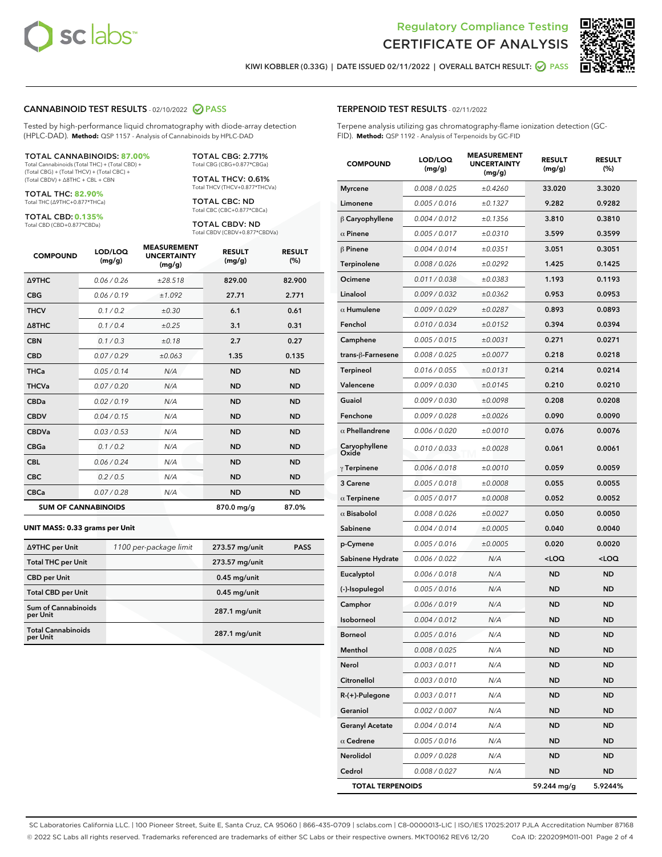



KIWI KOBBLER (0.33G) | DATE ISSUED 02/11/2022 | OVERALL BATCH RESULT: 2 PASS

#### CANNABINOID TEST RESULTS - 02/10/2022 2 PASS

Tested by high-performance liquid chromatography with diode-array detection (HPLC-DAD). **Method:** QSP 1157 - Analysis of Cannabinoids by HPLC-DAD

#### TOTAL CANNABINOIDS: **87.00%**

Total Cannabinoids (Total THC) + (Total CBD) + (Total CBG) + (Total THCV) + (Total CBC) + (Total CBDV) + ∆8THC + CBL + CBN

TOTAL THC: **82.90%** Total THC (∆9THC+0.877\*THCa)

TOTAL CBD: **0.135%**

Total CBD (CBD+0.877\*CBDa)

TOTAL CBG: 2.771% Total CBG (CBG+0.877\*CBGa)

TOTAL THCV: 0.61% Total THCV (THCV+0.877\*THCVa)

TOTAL CBC: ND Total CBC (CBC+0.877\*CBCa)

TOTAL CBDV: ND Total CBDV (CBDV+0.877\*CBDVa)

| <b>COMPOUND</b>            | LOD/LOQ<br>(mg/g) | <b>MEASUREMENT</b><br><b>UNCERTAINTY</b><br>(mg/g) | <b>RESULT</b><br>(mg/g) | <b>RESULT</b><br>(%) |
|----------------------------|-------------------|----------------------------------------------------|-------------------------|----------------------|
| <b>A9THC</b>               | 0.06 / 0.26       | ±28.518                                            | 829.00                  | 82.900               |
| <b>CBG</b>                 | 0.06/0.19         | ±1.092                                             | 27.71                   | 2.771                |
| <b>THCV</b>                | 0.1 / 0.2         | ±0.30                                              | 6.1                     | 0.61                 |
| $\triangle$ 8THC           | 0.1/0.4           | ±0.25                                              | 3.1                     | 0.31                 |
| <b>CBN</b>                 | 0.1 / 0.3         | ±0.18                                              | 2.7                     | 0.27                 |
| <b>CBD</b>                 | 0.07/0.29         | ±0.063                                             | 1.35                    | 0.135                |
| <b>THCa</b>                | 0.05/0.14         | N/A                                                | <b>ND</b>               | <b>ND</b>            |
| <b>THCVa</b>               | 0.07/0.20         | N/A                                                | <b>ND</b>               | <b>ND</b>            |
| <b>CBDa</b>                | 0.02/0.19         | N/A                                                | <b>ND</b>               | <b>ND</b>            |
| <b>CBDV</b>                | 0.04 / 0.15       | N/A                                                | <b>ND</b>               | <b>ND</b>            |
| <b>CBDVa</b>               | 0.03/0.53         | N/A                                                | <b>ND</b>               | <b>ND</b>            |
| <b>CBGa</b>                | 0.1 / 0.2         | N/A                                                | <b>ND</b>               | <b>ND</b>            |
| <b>CBL</b>                 | 0.06 / 0.24       | N/A                                                | <b>ND</b>               | <b>ND</b>            |
| <b>CBC</b>                 | 0.2 / 0.5         | N/A                                                | <b>ND</b>               | <b>ND</b>            |
| <b>CBCa</b>                | 0.07 / 0.28       | N/A                                                | <b>ND</b>               | <b>ND</b>            |
| <b>SUM OF CANNABINOIDS</b> |                   |                                                    | 870.0 mg/g              | 87.0%                |

#### **UNIT MASS: 0.33 grams per Unit**

| ∆9THC per Unit                        | 1100 per-package limit | 273.57 mg/unit  | <b>PASS</b> |
|---------------------------------------|------------------------|-----------------|-------------|
| <b>Total THC per Unit</b>             |                        | 273.57 mg/unit  |             |
| <b>CBD</b> per Unit                   |                        | $0.45$ mg/unit  |             |
| <b>Total CBD per Unit</b>             |                        | $0.45$ mg/unit  |             |
| Sum of Cannabinoids<br>per Unit       |                        | 287.1 mg/unit   |             |
| <b>Total Cannabinoids</b><br>per Unit |                        | $287.1$ mg/unit |             |

| <b>COMPOUND</b>         | LOD/LOQ<br>(mg/g) | <b>MEASUREMENT</b><br>UNCERTAINTY<br>(mg/g) | <b>RESULT</b><br>(mg/g)                         | <b>RESULT</b><br>$(\%)$ |
|-------------------------|-------------------|---------------------------------------------|-------------------------------------------------|-------------------------|
| <b>Myrcene</b>          | 0.008 / 0.025     | ±0.4260                                     | 33.020                                          | 3.3020                  |
| Limonene                | 0.005 / 0.016     | ±0.1327                                     | 9.282                                           | 0.9282                  |
| $\upbeta$ Caryophyllene | 0.004 / 0.012     | ±0.1356                                     | 3.810                                           | 0.3810                  |
| $\alpha$ Pinene         | 0.005 / 0.017     | ±0.0310                                     | 3.599                                           | 0.3599                  |
| $\beta$ Pinene          | 0.004 / 0.014     | ±0.0351                                     | 3.051                                           | 0.3051                  |
| Terpinolene             | 0.008 / 0.026     | ±0.0292                                     | 1.425                                           | 0.1425                  |
| Ocimene                 | 0.011 / 0.038     | ±0.0383                                     | 1.193                                           | 0.1193                  |
| Linalool                | 0.009 / 0.032     | ±0.0362                                     | 0.953                                           | 0.0953                  |
| $\alpha$ Humulene       | 0.009/0.029       | ±0.0287                                     | 0.893                                           | 0.0893                  |
| Fenchol                 | 0.010 / 0.034     | ±0.0152                                     | 0.394                                           | 0.0394                  |
| Camphene                | 0.005 / 0.015     | ±0.0031                                     | 0.271                                           | 0.0271                  |
| trans-ß-Farnesene       | 0.008 / 0.025     | ±0.0077                                     | 0.218                                           | 0.0218                  |
| Terpineol               | 0.016 / 0.055     | ±0.0131                                     | 0.214                                           | 0.0214                  |
| Valencene               | 0.009 / 0.030     | ±0.0145                                     | 0.210                                           | 0.0210                  |
| Guaiol                  | 0.009 / 0.030     | ±0.0098                                     | 0.208                                           | 0.0208                  |
| Fenchone                | 0.009 / 0.028     | ±0.0026                                     | 0.090                                           | 0.0090                  |
| $\alpha$ Phellandrene   | 0.006 / 0.020     | ±0.0010                                     | 0.076                                           | 0.0076                  |
| Caryophyllene<br>Oxide  | 0.010 / 0.033     | ±0.0028                                     | 0.061                                           | 0.0061                  |
| $\gamma$ Terpinene      | 0.006 / 0.018     | ±0.0010                                     | 0.059                                           | 0.0059                  |
| 3 Carene                | 0.005 / 0.018     | ±0.0008                                     | 0.055                                           | 0.0055                  |
| $\alpha$ Terpinene      | 0.005 / 0.017     | ±0.0008                                     | 0.052                                           | 0.0052                  |
| $\alpha$ Bisabolol      | 0.008 / 0.026     | ±0.0027                                     | 0.050                                           | 0.0050                  |
| Sabinene                | 0.004 / 0.014     | ±0.0005                                     | 0.040                                           | 0.0040                  |
| p-Cymene                | 0.005 / 0.016     | ±0.0005                                     | 0.020                                           | 0.0020                  |
| Sabinene Hydrate        | 0.006 / 0.022     | N/A                                         | <loq< th=""><th><loq< th=""></loq<></th></loq<> | <loq< th=""></loq<>     |
| Eucalyptol              | 0.006 / 0.018     | N/A                                         | <b>ND</b>                                       | <b>ND</b>               |
| (-)-Isopulegol          | 0.005 / 0.016     | N/A                                         | <b>ND</b>                                       | <b>ND</b>               |
| Camphor                 | 0.006 / 0.019     | N/A                                         | <b>ND</b>                                       | <b>ND</b>               |
| Isoborneol              | 0.004 / 0.012     | N/A                                         | ND                                              | <b>ND</b>               |
| <b>Borneol</b>          | 0.005 / 0.016     | N/A                                         | ND                                              | ND                      |
| Menthol                 | 0.008 / 0.025     | N/A                                         | ND                                              | ND                      |
| Nerol                   | 0.003 / 0.011     | N/A                                         | ND                                              | ND                      |
| Citronellol             | 0.003 / 0.010     | N/A                                         | ND                                              | ND                      |
| R-(+)-Pulegone          | 0.003 / 0.011     | N/A                                         | ND                                              | ND                      |
| Geraniol                | 0.002 / 0.007     | N/A                                         | ND                                              | ND                      |
| <b>Geranyl Acetate</b>  | 0.004 / 0.014     | N/A                                         | ND                                              | ND                      |
| $\alpha$ Cedrene        | 0.005 / 0.016     | N/A                                         | ND                                              | ND                      |
| Nerolidol               | 0.009 / 0.028     | N/A                                         | ND                                              | ND                      |
| Cedrol                  | 0.008 / 0.027     | N/A                                         | ND                                              | ND                      |
| <b>TOTAL TERPENOIDS</b> |                   |                                             | 59.244 mg/g                                     | 5.9244%                 |

SC Laboratories California LLC. | 100 Pioneer Street, Suite E, Santa Cruz, CA 95060 | 866-435-0709 | sclabs.com | C8-0000013-LIC | ISO/IES 17025:2017 PJLA Accreditation Number 87168 © 2022 SC Labs all rights reserved. Trademarks referenced are trademarks of either SC Labs or their respective owners. MKT00162 REV6 12/20 CoA ID: 220209M011-001 Page 2 of 4

# TERPENOID TEST RESULTS - 02/11/2022

Terpene analysis utilizing gas chromatography-flame ionization detection (GC-FID). **Method:** QSP 1192 - Analysis of Terpenoids by GC-FID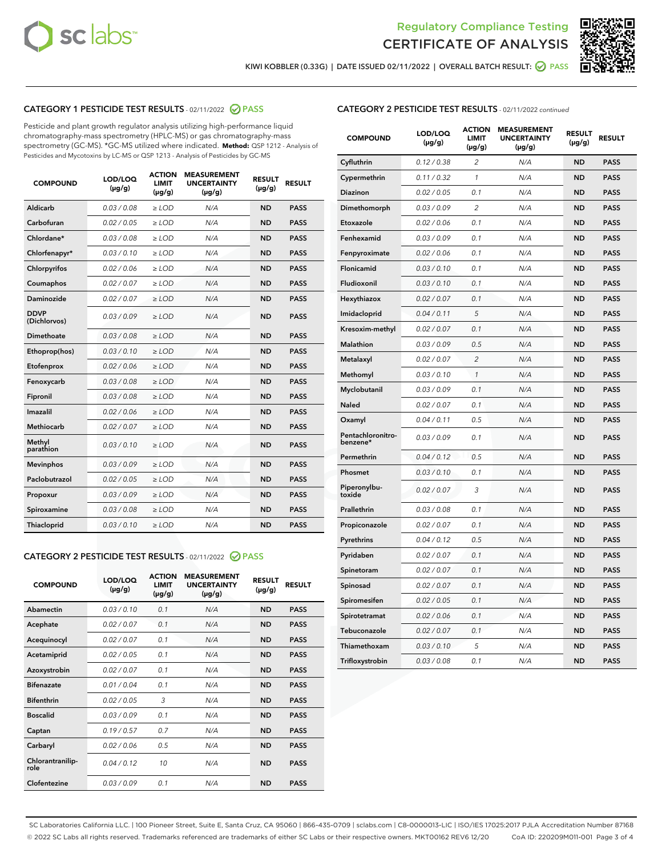



KIWI KOBBLER (0.33G) | DATE ISSUED 02/11/2022 | OVERALL BATCH RESULT: @ PASS

# CATEGORY 1 PESTICIDE TEST RESULTS - 02/11/2022 2 PASS

Pesticide and plant growth regulator analysis utilizing high-performance liquid chromatography-mass spectrometry (HPLC-MS) or gas chromatography-mass spectrometry (GC-MS). \*GC-MS utilized where indicated. **Method:** QSP 1212 - Analysis of Pesticides and Mycotoxins by LC-MS or QSP 1213 - Analysis of Pesticides by GC-MS

| <b>COMPOUND</b>             | LOD/LOQ<br>$(\mu g/g)$ | <b>ACTION</b><br><b>LIMIT</b><br>$(\mu g/g)$ | <b>MEASUREMENT</b><br><b>UNCERTAINTY</b><br>$(\mu g/g)$ | <b>RESULT</b><br>$(\mu g/g)$ | <b>RESULT</b> |
|-----------------------------|------------------------|----------------------------------------------|---------------------------------------------------------|------------------------------|---------------|
| Aldicarb                    | 0.03/0.08              | $>$ LOD                                      | N/A                                                     | <b>ND</b>                    | <b>PASS</b>   |
| Carbofuran                  | 0.02 / 0.05            | $\ge$ LOD                                    | N/A                                                     | <b>ND</b>                    | <b>PASS</b>   |
| Chlordane*                  | 0.03 / 0.08            | $\ge$ LOD                                    | N/A                                                     | <b>ND</b>                    | <b>PASS</b>   |
| Chlorfenapyr*               | 0.03/0.10              | $\ge$ LOD                                    | N/A                                                     | <b>ND</b>                    | <b>PASS</b>   |
| Chlorpyrifos                | 0.02 / 0.06            | $\ge$ LOD                                    | N/A                                                     | <b>ND</b>                    | <b>PASS</b>   |
| Coumaphos                   | 0.02 / 0.07            | $\ge$ LOD                                    | N/A                                                     | <b>ND</b>                    | <b>PASS</b>   |
| Daminozide                  | 0.02/0.07              | $>$ LOD                                      | N/A                                                     | <b>ND</b>                    | <b>PASS</b>   |
| <b>DDVP</b><br>(Dichlorvos) | 0.03/0.09              | $\ge$ LOD                                    | N/A                                                     | <b>ND</b>                    | <b>PASS</b>   |
| <b>Dimethoate</b>           | 0.03/0.08              | $\ge$ LOD                                    | N/A                                                     | <b>ND</b>                    | <b>PASS</b>   |
| Ethoprop(hos)               | 0.03/0.10              | $\ge$ LOD                                    | N/A                                                     | <b>ND</b>                    | <b>PASS</b>   |
| Etofenprox                  | 0.02 / 0.06            | $\ge$ LOD                                    | N/A                                                     | <b>ND</b>                    | <b>PASS</b>   |
| Fenoxycarb                  | 0.03/0.08              | $\ge$ LOD                                    | N/A                                                     | <b>ND</b>                    | <b>PASS</b>   |
| Fipronil                    | 0.03/0.08              | $\ge$ LOD                                    | N/A                                                     | <b>ND</b>                    | <b>PASS</b>   |
| Imazalil                    | 0.02 / 0.06            | $>$ LOD                                      | N/A                                                     | <b>ND</b>                    | <b>PASS</b>   |
| Methiocarb                  | 0.02 / 0.07            | $>$ LOD                                      | N/A                                                     | <b>ND</b>                    | <b>PASS</b>   |
| Methyl<br>parathion         | 0.03/0.10              | $>$ LOD                                      | N/A                                                     | <b>ND</b>                    | <b>PASS</b>   |
| <b>Mevinphos</b>            | 0.03/0.09              | $\ge$ LOD                                    | N/A                                                     | <b>ND</b>                    | <b>PASS</b>   |
| Paclobutrazol               | 0.02 / 0.05            | $>$ LOD                                      | N/A                                                     | <b>ND</b>                    | <b>PASS</b>   |
| Propoxur                    | 0.03/0.09              | $\ge$ LOD                                    | N/A                                                     | <b>ND</b>                    | <b>PASS</b>   |
| Spiroxamine                 | 0.03 / 0.08            | $\ge$ LOD                                    | N/A                                                     | <b>ND</b>                    | <b>PASS</b>   |
| Thiacloprid                 | 0.03/0.10              | $\ge$ LOD                                    | N/A                                                     | <b>ND</b>                    | <b>PASS</b>   |

#### CATEGORY 2 PESTICIDE TEST RESULTS - 02/11/2022 2 PASS

| <b>COMPOUND</b>          | LOD/LOO<br>$(\mu g/g)$ | <b>ACTION</b><br>LIMIT<br>$(\mu g/g)$ | <b>MEASUREMENT</b><br><b>UNCERTAINTY</b><br>$(\mu g/g)$ | <b>RESULT</b><br>$(\mu g/g)$ | <b>RESULT</b> |
|--------------------------|------------------------|---------------------------------------|---------------------------------------------------------|------------------------------|---------------|
| Abamectin                | 0.03/0.10              | 0.1                                   | N/A                                                     | <b>ND</b>                    | <b>PASS</b>   |
| Acephate                 | 0.02/0.07              | 0.1                                   | N/A                                                     | <b>ND</b>                    | <b>PASS</b>   |
| Acequinocyl              | 0.02/0.07              | 0.1                                   | N/A                                                     | <b>ND</b>                    | <b>PASS</b>   |
| Acetamiprid              | 0.02/0.05              | 0.1                                   | N/A                                                     | <b>ND</b>                    | <b>PASS</b>   |
| Azoxystrobin             | 0.02/0.07              | 0.1                                   | N/A                                                     | <b>ND</b>                    | <b>PASS</b>   |
| <b>Bifenazate</b>        | 0.01/0.04              | 0.1                                   | N/A                                                     | <b>ND</b>                    | <b>PASS</b>   |
| <b>Bifenthrin</b>        | 0.02/0.05              | 3                                     | N/A                                                     | <b>ND</b>                    | <b>PASS</b>   |
| <b>Boscalid</b>          | 0.03/0.09              | 0.1                                   | N/A                                                     | <b>ND</b>                    | <b>PASS</b>   |
| Captan                   | 0.19/0.57              | 0.7                                   | N/A                                                     | <b>ND</b>                    | <b>PASS</b>   |
| Carbaryl                 | 0.02/0.06              | 0.5                                   | N/A                                                     | <b>ND</b>                    | <b>PASS</b>   |
| Chlorantranilip-<br>role | 0.04/0.12              | 10                                    | N/A                                                     | <b>ND</b>                    | <b>PASS</b>   |
| Clofentezine             | 0.03/0.09              | 0.1                                   | N/A                                                     | <b>ND</b>                    | <b>PASS</b>   |

# CATEGORY 2 PESTICIDE TEST RESULTS - 02/11/2022 continued

| <b>COMPOUND</b>               | LOD/LOQ<br>(µg/g) | <b>ACTION</b><br><b>LIMIT</b><br>$(\mu g/g)$ | <b>MEASUREMENT</b><br><b>UNCERTAINTY</b><br>$(\mu g/g)$ | <b>RESULT</b><br>(µg/g) | <b>RESULT</b> |
|-------------------------------|-------------------|----------------------------------------------|---------------------------------------------------------|-------------------------|---------------|
| Cyfluthrin                    | 0.12 / 0.38       | $\overline{c}$                               | N/A                                                     | ND                      | <b>PASS</b>   |
| Cypermethrin                  | 0.11 / 0.32       | $\mathcal{I}$                                | N/A                                                     | ND                      | <b>PASS</b>   |
| <b>Diazinon</b>               | 0.02 / 0.05       | 0.1                                          | N/A                                                     | <b>ND</b>               | <b>PASS</b>   |
| Dimethomorph                  | 0.03 / 0.09       | 2                                            | N/A                                                     | ND                      | <b>PASS</b>   |
| Etoxazole                     | 0.02 / 0.06       | 0.1                                          | N/A                                                     | ND                      | <b>PASS</b>   |
| Fenhexamid                    | 0.03 / 0.09       | 0.1                                          | N/A                                                     | ND                      | <b>PASS</b>   |
| Fenpyroximate                 | 0.02 / 0.06       | 0.1                                          | N/A                                                     | <b>ND</b>               | <b>PASS</b>   |
| Flonicamid                    | 0.03 / 0.10       | 0.1                                          | N/A                                                     | ND                      | <b>PASS</b>   |
| Fludioxonil                   | 0.03 / 0.10       | 0.1                                          | N/A                                                     | ND                      | <b>PASS</b>   |
| Hexythiazox                   | 0.02 / 0.07       | 0.1                                          | N/A                                                     | ND                      | <b>PASS</b>   |
| Imidacloprid                  | 0.04 / 0.11       | 5                                            | N/A                                                     | ND                      | <b>PASS</b>   |
| Kresoxim-methyl               | 0.02 / 0.07       | 0.1                                          | N/A                                                     | ND                      | <b>PASS</b>   |
| Malathion                     | 0.03 / 0.09       | 0.5                                          | N/A                                                     | ND                      | <b>PASS</b>   |
| Metalaxyl                     | 0.02 / 0.07       | $\overline{c}$                               | N/A                                                     | ND                      | <b>PASS</b>   |
| Methomyl                      | 0.03 / 0.10       | $\mathbf{1}$                                 | N/A                                                     | ND                      | <b>PASS</b>   |
| Myclobutanil                  | 0.03 / 0.09       | 0.1                                          | N/A                                                     | <b>ND</b>               | <b>PASS</b>   |
| Naled                         | 0.02 / 0.07       | 0.1                                          | N/A                                                     | ND                      | <b>PASS</b>   |
| Oxamyl                        | 0.04 / 0.11       | 0.5                                          | N/A                                                     | ND                      | PASS          |
| Pentachloronitro-<br>benzene* | 0.03 / 0.09       | 0.1                                          | N/A                                                     | ND                      | <b>PASS</b>   |
| Permethrin                    | 0.04 / 0.12       | 0.5                                          | N/A                                                     | ND                      | <b>PASS</b>   |
| Phosmet                       | 0.03 / 0.10       | 0.1                                          | N/A                                                     | ND                      | <b>PASS</b>   |
| Piperonylbu-<br>toxide        | 0.02 / 0.07       | 3                                            | N/A                                                     | <b>ND</b>               | <b>PASS</b>   |
| Prallethrin                   | 0.03 / 0.08       | 0.1                                          | N/A                                                     | ND                      | <b>PASS</b>   |
| Propiconazole                 | 0.02 / 0.07       | 0.1                                          | N/A                                                     | <b>ND</b>               | <b>PASS</b>   |
| Pyrethrins                    | 0.04 / 0.12       | 0.5                                          | N/A                                                     | ND                      | <b>PASS</b>   |
| Pyridaben                     | 0.02 / 0.07       | 0.1                                          | N/A                                                     | <b>ND</b>               | <b>PASS</b>   |
| Spinetoram                    | 0.02 / 0.07       | 0.1                                          | N/A                                                     | ND                      | <b>PASS</b>   |
| Spinosad                      | 0.02 / 0.07       | 0.1                                          | N/A                                                     | ND                      | <b>PASS</b>   |
| Spiromesifen                  | 0.02 / 0.05       | 0.1                                          | N/A                                                     | <b>ND</b>               | <b>PASS</b>   |
| Spirotetramat                 | 0.02 / 0.06       | 0.1                                          | N/A                                                     | ND                      | <b>PASS</b>   |
| Tebuconazole                  | 0.02 / 0.07       | 0.1                                          | N/A                                                     | ND                      | <b>PASS</b>   |
| Thiamethoxam                  | 0.03 / 0.10       | 5                                            | N/A                                                     | <b>ND</b>               | <b>PASS</b>   |
| Trifloxystrobin               | 0.03 / 0.08       | 0.1                                          | N/A                                                     | <b>ND</b>               | <b>PASS</b>   |

SC Laboratories California LLC. | 100 Pioneer Street, Suite E, Santa Cruz, CA 95060 | 866-435-0709 | sclabs.com | C8-0000013-LIC | ISO/IES 17025:2017 PJLA Accreditation Number 87168 © 2022 SC Labs all rights reserved. Trademarks referenced are trademarks of either SC Labs or their respective owners. MKT00162 REV6 12/20 CoA ID: 220209M011-001 Page 3 of 4